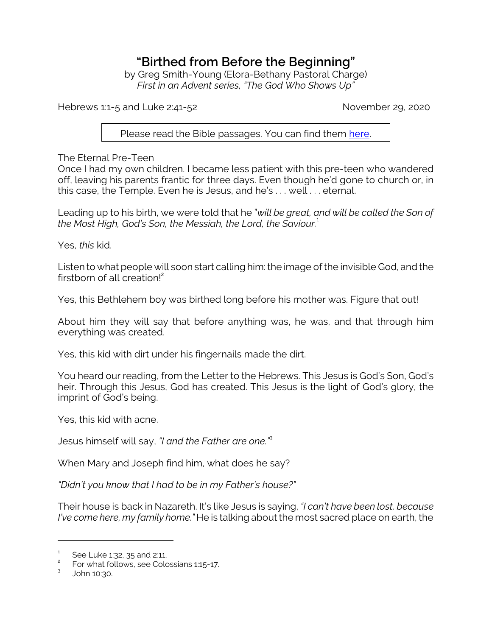## **"Birthed from Before the Beginning"**

by Greg Smith-Young (Elora-Bethany Pastoral Charge) *First in an Advent series, "The God Who Shows Up"*

Hebrews 1:1-5 and Luke 2:41-52 November 29, 2020

Please read the Bible passages. You can find them [here](https://www.biblegateway.com/passage/?search=Hebrews+1%3A1-5%3B+Luke+2%3A41-52&version=ESV).

The Eternal Pre-Teen

Once I had my own children. I became less patient with this pre-teen who wandered off, leaving his parents frantic for three days. Even though he'd gone to church or, in this case, the Temple. Even he is Jesus, and he's . . . well . . . eternal.

Leading up to his birth, we were told that he "*will be great, and will be called the Son of the Most High, God's Son, the Messiah, the Lord, the Saviour.*<sup>1</sup>

Yes, *this* kid.

Listen to what people will soon start calling him: the image of the invisible God, and the firstborn of all creation! $^2$ 

Yes, this Bethlehem boy was birthed long before his mother was. Figure that out!

About him they will say that before anything was, he was, and that through him everything was created.

Yes, this kid with dirt under his fingernails made the dirt.

You heard our reading, from the Letter to the Hebrews. This Jesus is God's Son, God's heir. Through this Jesus, God has created. This Jesus is the light of God's glory, the imprint of God's being.

Yes, this kid with acne.

Jesus himself will say, *"I and the Father are one."*<sup>3</sup>

When Mary and Joseph find him, what does he say?

*"Didn't you know that I had to be in my Father's house?"* 

Their house is back in Nazareth. It's like Jesus is saying, *"I can't have been lost, because I've come here, my family home."* He is talking about the most sacred place on earth, the

<sup>1</sup> See Luke 1:32, 35 and 2:11.

<sup>2</sup> For what follows, see Colossians 1:15-17.

<sup>3</sup> John 10:30.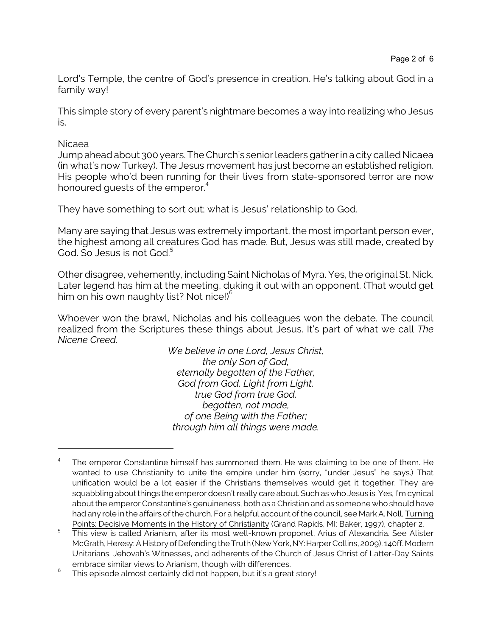Lord's Temple, the centre of God's presence in creation. He's talking about God in a family way!

This simple story of every parent's nightmare becomes a way into realizing who Jesus is.

## Nicaea

Jump ahead about 300 years. The Church's senior leaders gather in a city called Nicaea (in what's now Turkey). The Jesus movement has just become an established religion. His people who'd been running for their lives from state-sponsored terror are now honoured guests of the emperor.<sup>4</sup>

They have something to sort out; what is Jesus' relationship to God.

Many are saying that Jesus was extremely important, the most important person ever, the highest among all creatures God has made. But, Jesus was still made, created by God. So Jesus is not God.<sup>5</sup>

Other disagree, vehemently, including Saint Nicholas of Myra. Yes, the original St. Nick. Later legend has him at the meeting, duking it out with an opponent. (That would get him on his own naughty list? Not nice!) $6$ 

Whoever won the brawl, Nicholas and his colleagues won the debate. The council realized from the Scriptures these things about Jesus. It's part of what we call *The Nicene Creed*.

> *We believe in one Lord, Jesus Christ, the only Son of God, eternally begotten of the Father, God from God, Light from Light, true God from true God, begotten, not made, of one Being with the Father; through him all things were made.*

<sup>4</sup> The emperor Constantine himself has summoned them. He was claiming to be one of them. He wanted to use Christianity to unite the empire under him (sorry, "under Jesus" he says.) That unification would be a lot easier if the Christians themselves would get it together. They are squabbling about things the emperor doesn't really care about. Such as who Jesus is. Yes, I'm cynical about the emperor Constantine's genuineness, both as a Christian and as someone who should have had any role in the affairs of the church. For a helpful account of the council, see Mark A. Noll, Turning Points: Decisive Moments in the History of Christianity (Grand Rapids, MI: Baker, 1997), chapter 2.

<sup>5</sup> This view is called Arianism, after its most well-known proponet, Arius of Alexandria. See Alister McGrath, Heresy: A History of Defending the Truth (New York,NY:Harper Collins, 2009), 140ff. Modern Unitarians, Jehovah's Witnesses, and adherents of the Church of Jesus Christ of Latter-Day Saints embrace similar views to Arianism, though with differences.

<sup>6</sup> This episode almost certainly did not happen, but it's a great story!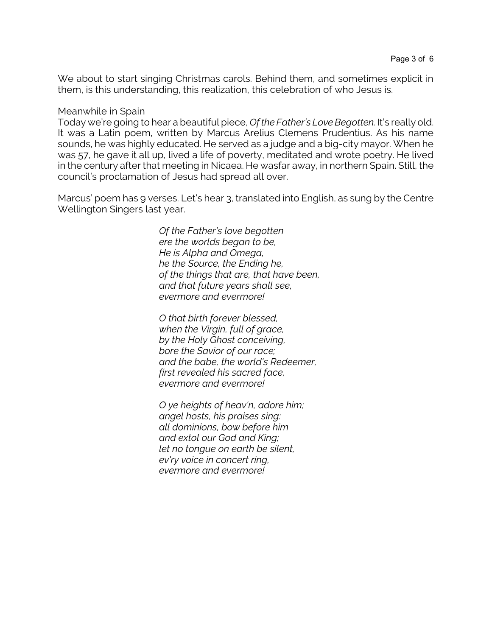We about to start singing Christmas carols. Behind them, and sometimes explicit in them, is this understanding, this realization, this celebration of who Jesus is.

## Meanwhile in Spain

Today we're going to hear a beautiful piece, *Of the Father's Love Begotten.* It's really old. It was a Latin poem, written by Marcus Arelius Clemens Prudentius. As his name sounds, he was highly educated. He served as a judge and a big-city mayor. When he was 57, he gave it all up, lived a life of poverty, meditated and wrote poetry. He lived in the century after that meeting in Nicaea. He wasfar away, in northern Spain. Still, the council's proclamation of Jesus had spread all over.

Marcus' poem has 9 verses. Let's hear 3, translated into English, as sung by the Centre Wellington Singers last year.

> *Of the Father's love begotten ere the worlds began to be, He is Alpha and Omega, he the Source, the Ending he, of the things that are, that have been, and that future years shall see, evermore and evermore!*

*O that birth forever blessed, when the Virgin, full of grace, by the Holy Ghost conceiving, bore the Savior of our race; and the babe, the world's Redeemer, first revealed his sacred face, evermore and evermore!*

*O ye heights of heav'n, adore him; angel hosts, his praises sing: all dominions, bow before him and extol our God and King; let no tongue on earth be silent, ev'ry voice in concert ring, evermore and evermore!*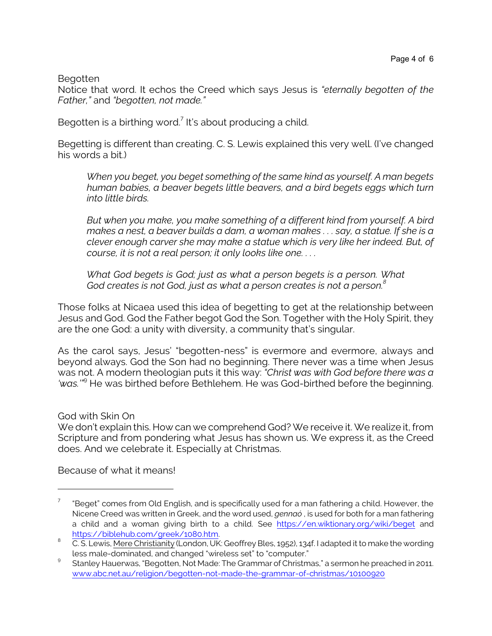Begotten

Notice that word. It echos the Creed which says Jesus is *"eternally begotten of the Father,"* and *"begotten, not made."*

Begotten is a birthing word.<sup>7</sup> It's about producing a child.

Begetting is different than creating. C. S. Lewis explained this very well. (I've changed his words a bit.)

*When you beget, you beget something of the same kind as yourself. A man begets human babies, a beaver begets little beavers, and a bird begets eggs which turn into little birds.* 

*But when you make, you make something of a different kind from yourself. A bird makes a nest, a beaver builds a dam, a woman makes . . . say, a statue. If she is a clever enough carver she may make a statue which is very like her indeed. But, of course, it is not a real person; it only looks like one. . . .* 

*What God begets is God; just as what a person begets is a person. What God creates is not God, just as what a person creates is not a person.<sup>8</sup>*

Those folks at Nicaea used this idea of begetting to get at the relationship between Jesus and God. God the Father begot God the Son. Together with the Holy Spirit, they are the one God: a unity with diversity, a community that's singular.

As the carol says, Jesus' "begotten-ness" is evermore and evermore, always and beyond always. God the Son had no beginning. There never was a time when Jesus was not. A modern theologian puts it this way: *"Christ was with God before there was a 'was.'"*<sup>9</sup> He was birthed before Bethlehem. He was God-birthed before the beginning.

God with Skin On

We don't explain this. How can we comprehend God? We receive it. We realize it, from Scripture and from pondering what Jesus has shown us. We express it, as the Creed does. And we celebrate it. Especially at Christmas.

Because of what it means!

<sup>7</sup> "Beget" comes from Old English, and is specifically used for a man fathering a child. However, the Nicene Creed was written in Greek, and the word used, *gennaó* , is used for both for a man fathering a child and a woman giving birth to a child. See <https://en.wiktionary.org/wiki/beget> and <https://biblehub.com/greek/1080.htm>.

<sup>8</sup> C. S. Lewis, Mere Christianity (London, UK: Geoffrey Bles, 1952), 134f. I adapted it to make the wording less male-dominated, and changed "wireless set" to "computer."

<sup>&</sup>lt;sup>9</sup> Stanley Hauerwas, "Begotten, Not Made: The Grammar of Christmas," a sermon he preached in 2011. [www.abc.net.au/religion/begotten-not-made-the-grammar-of-christmas/10100920](https://www.abc.net.au/religion/begotten-not-made-the-grammar-of-christmas/10100920)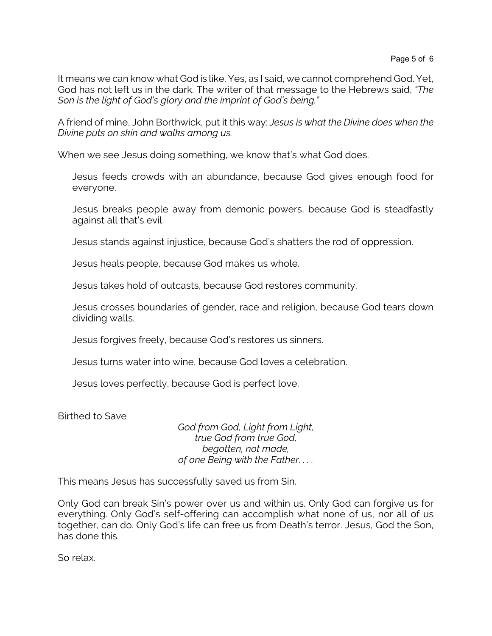It means we can know what God is like. Yes, as I said, we cannot comprehend God. Yet, God has not left us in the dark. The writer of that message to the Hebrews said, *"The Son is the light of God's glory and the imprint of God's being."* 

A friend of mine, John Borthwick, put it this way: *Jesus is what the Divine does when the Divine puts on skin and walks among us.*

When we see Jesus doing something, we know that's what God does.

Jesus feeds crowds with an abundance, because God gives enough food for everyone.

Jesus breaks people away from demonic powers, because God is steadfastly against all that's evil.

Jesus stands against injustice, because God's shatters the rod of oppression.

Jesus heals people, because God makes us whole.

Jesus takes hold of outcasts, because God restores community.

Jesus crosses boundaries of gender, race and religion, because God tears down dividing walls.

Jesus forgives freely, because God's restores us sinners.

Jesus turns water into wine, because God loves a celebration.

Jesus loves perfectly, because God is perfect love.

Birthed to Save

*God from God, Light from Light, true God from true God, begotten, not made, of one Being with the Father. . . .*

This means Jesus has successfully saved us from Sin.

Only God can break Sin's power over us and within us. Only God can forgive us for everything. Only God's self-offering can accomplish what none of us, nor all of us together, can do. Only God's life can free us from Death's terror. Jesus, God the Son, has done this.

So relax.